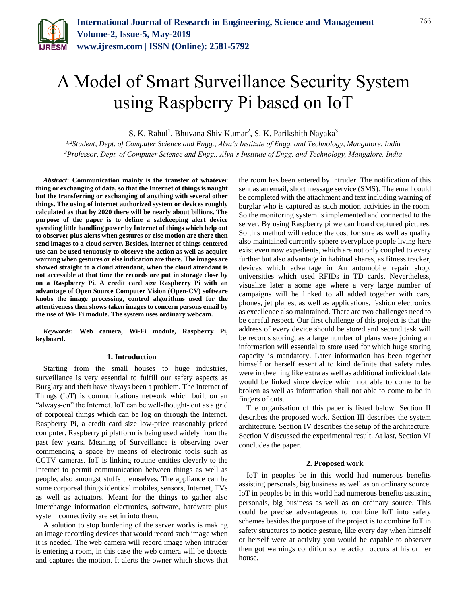

# A Model of Smart Surveillance Security System using Raspberry Pi based on IoT

S. K. Rahul<sup>1</sup>, Bhuvana Shiv Kumar<sup>2</sup>, S. K. Parikshith Nayaka<sup>3</sup>

*1,2Student, Dept. of Computer Science and Engg., Alva's Institute of Engg. and Technology, Mangalore, India 3Professor, Dept. of Computer Science and Engg., Alva's Institute of Engg. and Technology, Mangalore, India*

*Abstract***: Communication mainly is the transfer of whatever thing or exchanging of data, so that the Internet of things is naught but the transferring or exchanging of anything with several other things. The using of internet authorized system or devices roughly calculated as that by 2020 there will be nearly about billions. The purpose of the paper is to define a safekeeping alert device spending little handling power by Internet of things which help out to observer plus alerts when gestures or else motion are there then send images to a cloud server. Besides, internet of things centered use can be used tenuously to observe the action as well as acquire warning when gestures or else indication are there. The images are showed straight to a cloud attendant, when the cloud attendant is not accessible at that time the records are put in storage close by on a Raspberry Pi. A credit card size Raspberry Pi with an advantage of Open Source Computer Vision (Open-CV) software knobs the image processing, control algorithms used for the attentiveness then shows taken images to concern persons email by the use of Wi- Fi module. The system uses ordinary webcam.**

*Keywords***: Web camera, Wi-Fi module, Raspberry Pi, keyboard.**

#### **1. Introduction**

Starting from the small houses to huge industries, surveillance is very essential to fulfill our safety aspects as Burglary and theft have always been a problem. The Internet of Things (IoT) is communications network which built on an "always-on" the Internet. IoT can be well-thought- out as a grid of corporeal things which can be log on through the Internet. Raspberry Pi, a credit card size low-price reasonably priced computer. Raspberry pi platform is being used widely from the past few years. Meaning of Surveillance is observing over commencing a space by means of electronic tools such as CCTV cameras. IoT is linking routine entities cleverly to the Internet to permit communication between things as well as people, also amongst stuffs themselves. The appliance can be some corporeal things identical mobiles, sensors, Internet, TVs as well as actuators. Meant for the things to gather also interchange information electronics, software, hardware plus system connectivity are set in into them.

A solution to stop burdening of the server works is making an image recording devices that would record such image when it is needed. The web camera will record image when intruder is entering a room, in this case the web camera will be detects and captures the motion. It alerts the owner which shows that the room has been entered by intruder. The notification of this sent as an email, short message service (SMS). The email could be completed with the attachment and text including warning of burglar who is captured as such motion activities in the room. So the monitoring system is implemented and connected to the server. By using Raspberry pi we can hoard captured pictures. So this method will reduce the cost for sure as well as quality also maintained currently sphere everyplace people living here exist even now expedients, which are not only coupled to every further but also advantage in habitual shares, as fitness tracker, devices which advantage in An automobile repair shop, universities which used RFIDs in TD cards. Nevertheless, visualize later a some age where a very large number of campaigns will be linked to all added together with cars, phones, jet planes, as well as applications, fashion electronics as excellence also maintained. There are two challenges need to be careful respect. Our first challenge of this project is that the address of every device should be stored and second task will be records storing, as a large number of plans were joining an information will essential to store used for which huge storing capacity is mandatory. Later information has been together himself or herself essential to kind definite that safety rules were in dwelling like extra as well as additional individual data would be linked since device which not able to come to be broken as well as information shall not able to come to be in fingers of cuts.

The organisation of this paper is listed below. Section II describes the proposed work. Section III describes the system architecture. Section IV describes the setup of the architecture. Section V discussed the experimental result. At last, Section VI concludes the paper.

#### **2. Proposed work**

IoT in peoples be in this world had numerous benefits assisting personals, big business as well as on ordinary source. IoT in peoples be in this world had numerous benefits assisting personals, big business as well as on ordinary source. This could be precise advantageous to combine IoT into safety schemes besides the purpose of the project is to combine IoT in safety structures to notice gesture, like every day when himself or herself were at activity you would be capable to observer then got warnings condition some action occurs at his or her house.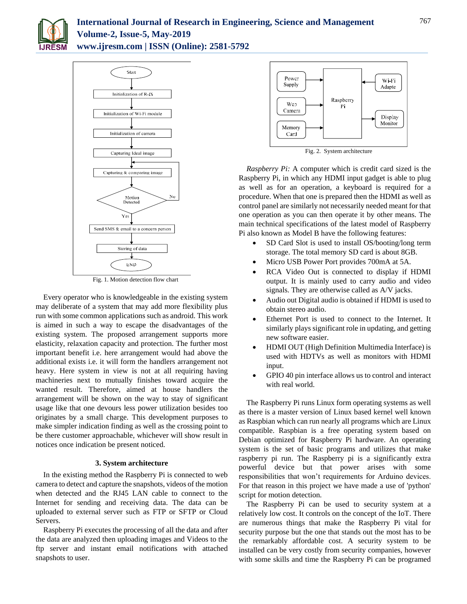

# **International Journal of Research in Engineering, Science and Management Volume-2, Issue-5, May-2019 www.ijresm.com | ISSN (Online): 2581-5792**



Fig. 1. Motion detection flow chart

Every operator who is knowledgeable in the existing system may deliberate of a system that may add more flexibility plus run with some common applications such as android. This work is aimed in such a way to escape the disadvantages of the existing system. The proposed arrangement supports more elasticity, relaxation capacity and protection. The further most important benefit i.e. here arrangement would had above the additional exists i.e. it will form the handlers arrangement not heavy. Here system in view is not at all requiring having machineries next to mutually finishes toward acquire the wanted result. Therefore, aimed at house handlers the arrangement will be shown on the way to stay of significant usage like that one devours less power utilization besides too originates by a small charge. This development purposes to make simpler indication finding as well as the crossing point to be there customer approachable, whichever will show result in notices once indication be present noticed.

## **3. System architecture**

In the existing method the Raspberry Pi is connected to web camera to detect and capture the snapshots, videos of the motion when detected and the RJ45 LAN cable to connect to the Internet for sending and receiving data. The data can be uploaded to external server such as FTP or SFTP or Cloud Servers.

Raspberry Pi executes the processing of all the data and after the data are analyzed then uploading images and Videos to the ftp server and instant email notifications with attached snapshots to user.



Fig. 2. System architecture

*Raspberry Pi:* A computer which is credit card sized is the Raspberry Pi, in which any HDMI input gadget is able to plug as well as for an operation, a keyboard is required for a procedure. When that one is prepared then the HDMI as well as control panel are similarly not necessarily needed meant for that one operation as you can then operate it by other means. The main technical specifications of the latest model of Raspberry Pi also known as Model B have the following features:

- SD Card Slot is used to install OS/booting/long term storage. The total memory SD card is about 8GB.
- Micro USB Power Port provides 700mA at 5A.
- RCA Video Out is connected to display if HDMI output. It is mainly used to carry audio and video signals. They are otherwise called as A/V jacks.
- Audio out Digital audio is obtained if HDMI is used to obtain stereo audio.
- Ethernet Port is used to connect to the Internet. It similarly plays significant role in updating, and getting new software easier.
- HDMI OUT (High Definition Multimedia Interface) is used with HDTVs as well as monitors with HDMI input.
- GPIO 40 pin interface allows us to control and interact with real world.

The Raspberry Pi runs Linux form operating systems as well as there is a master version of Linux based kernel well known as Raspbian which can run nearly all programs which are Linux compatible. Raspbian is a free operating system based on Debian optimized for Raspberry Pi hardware. An operating system is the set of basic programs and utilizes that make raspberry pi run. The Raspberry pi is a significantly extra powerful device but that power arises with some responsibilities that won't requirements for Arduino devices. For that reason in this project we have made a use of 'python' script for motion detection.

The Raspberry Pi can be used to security system at a relatively low cost. It controls on the concept of the IoT. There are numerous things that make the Raspberry Pi vital for security purpose but the one that stands out the most has to be the remarkably affordable cost. A security system to be installed can be very costly from security companies, however with some skills and time the Raspberry Pi can be programed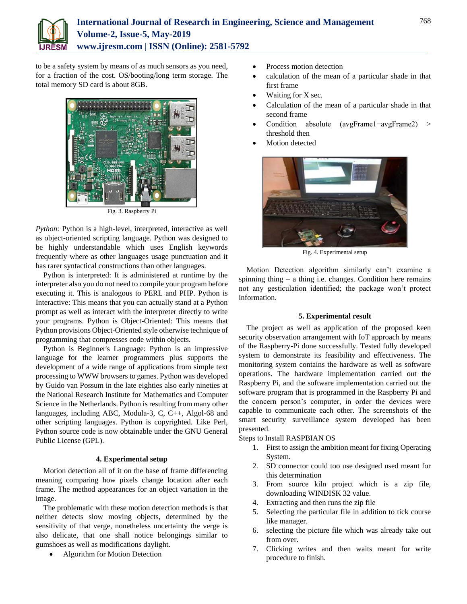

# **International Journal of Research in Engineering, Science and Management Volume-2, Issue-5, May-2019 www.ijresm.com | ISSN (Online): 2581-5792**

to be a safety system by means of as much sensors as you need, for a fraction of the cost. OS/booting/long term storage. The total memory SD card is about 8GB.



Fig. 3. Raspberry Pi

*Python:* Python is a high-level, interpreted, interactive as well as object-oriented scripting language. Python was designed to be highly understandable which uses English keywords frequently where as other languages usage punctuation and it has rarer syntactical constructions than other languages.

Python is interpreted: It is administered at runtime by the interpreter also you do not need to compile your program before executing it. This is analogous to PERL and PHP. Python is Interactive: This means that you can actually stand at a Python prompt as well as interact with the interpreter directly to write your programs. Python is Object-Oriented: This means that Python provisions Object-Oriented style otherwise technique of programming that compresses code within objects.

Python is Beginner's Language: Python is an impressive language for the learner programmers plus supports the development of a wide range of applications from simple text processing to WWW browsers to games. Python was developed by Guido van Possum in the late eighties also early nineties at the National Research Institute for Mathematics and Computer Science in the Netherlands. Python is resulting from many other languages, including ABC, Modula-3, C, C++, Algol-68 and other scripting languages. Python is copyrighted. Like Perl, Python source code is now obtainable under the GNU General Public License (GPL).

### **4. Experimental setup**

Motion detection all of it on the base of frame differencing meaning comparing how pixels change location after each frame. The method appearances for an object variation in the image.

The problematic with these motion detection methods is that neither detects slow moving objects, determined by the sensitivity of that verge, nonetheless uncertainty the verge is also delicate, that one shall notice belongings similar to gumshoes as well as modifications daylight.

Algorithm for Motion Detection

- Process motion detection
- calculation of the mean of a particular shade in that first frame
- Waiting for X sec.
- Calculation of the mean of a particular shade in that second frame
- Condition absolute (avgFrame1−avgFrame2) > threshold then
- Motion detected



Fig. 4. Experimental setup

Motion Detection algorithm similarly can't examine a spinning thing  $-$  a thing i.e. changes. Condition here remains not any gesticulation identified; the package won't protect information.

## **5. Experimental result**

The project as well as application of the proposed keen security observation arrangement with IoT approach by means of the Raspberry-Pi done successfully. Tested fully developed system to demonstrate its feasibility and effectiveness. The monitoring system contains the hardware as well as software operations. The hardware implementation carried out the Raspberry Pi, and the software implementation carried out the software program that is programmed in the Raspberry Pi and the concern person's computer, in order the devices were capable to communicate each other. The screenshots of the smart security surveillance system developed has been presented.

#### Steps to Install RASPBIAN OS

- 1. First to assign the ambition meant for fixing Operating System.
- 2. SD connector could too use designed used meant for this determination
- 3. From source kiln project which is a zip file, downloading WINDISK 32 value.
- 4. Extracting and then runs the zip file
- 5. Selecting the particular file in addition to tick course like manager.
- 6. selecting the picture file which was already take out from over.
- 7. Clicking writes and then waits meant for write procedure to finish.